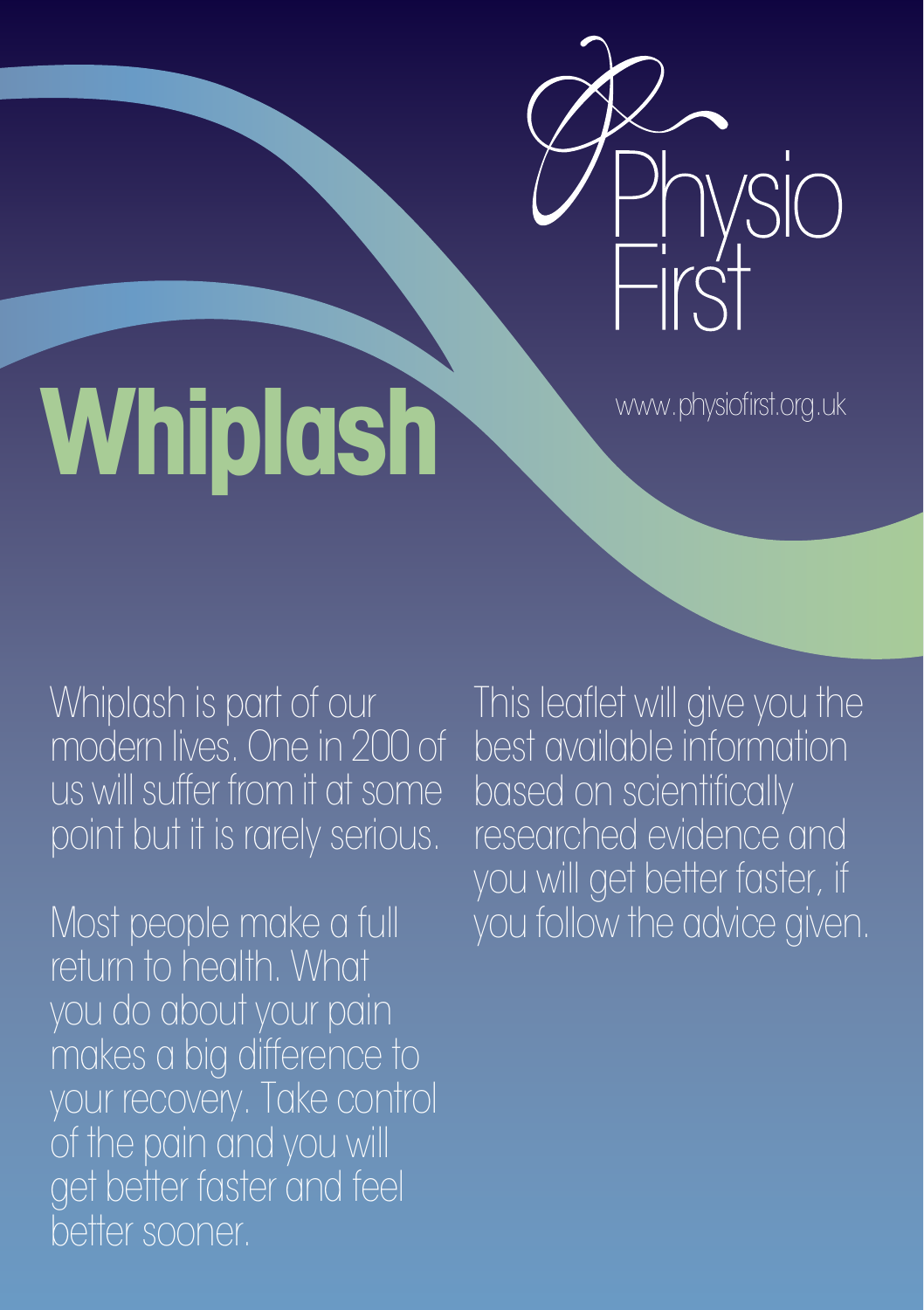

# Whiplash www.physiofirst.org.uk

Whiplash is part of our modern lives. One in 200 of us will suffer from it at some point but it is rarely serious.

Most people make a full return to health. What you do about your pain makes a big difference to your recovery. Take control of the pain and you will get better faster and feel better sooner.

This leaflet will give you the best available information based on scientifically researched evidence and you will get better faster, if you follow the advice given.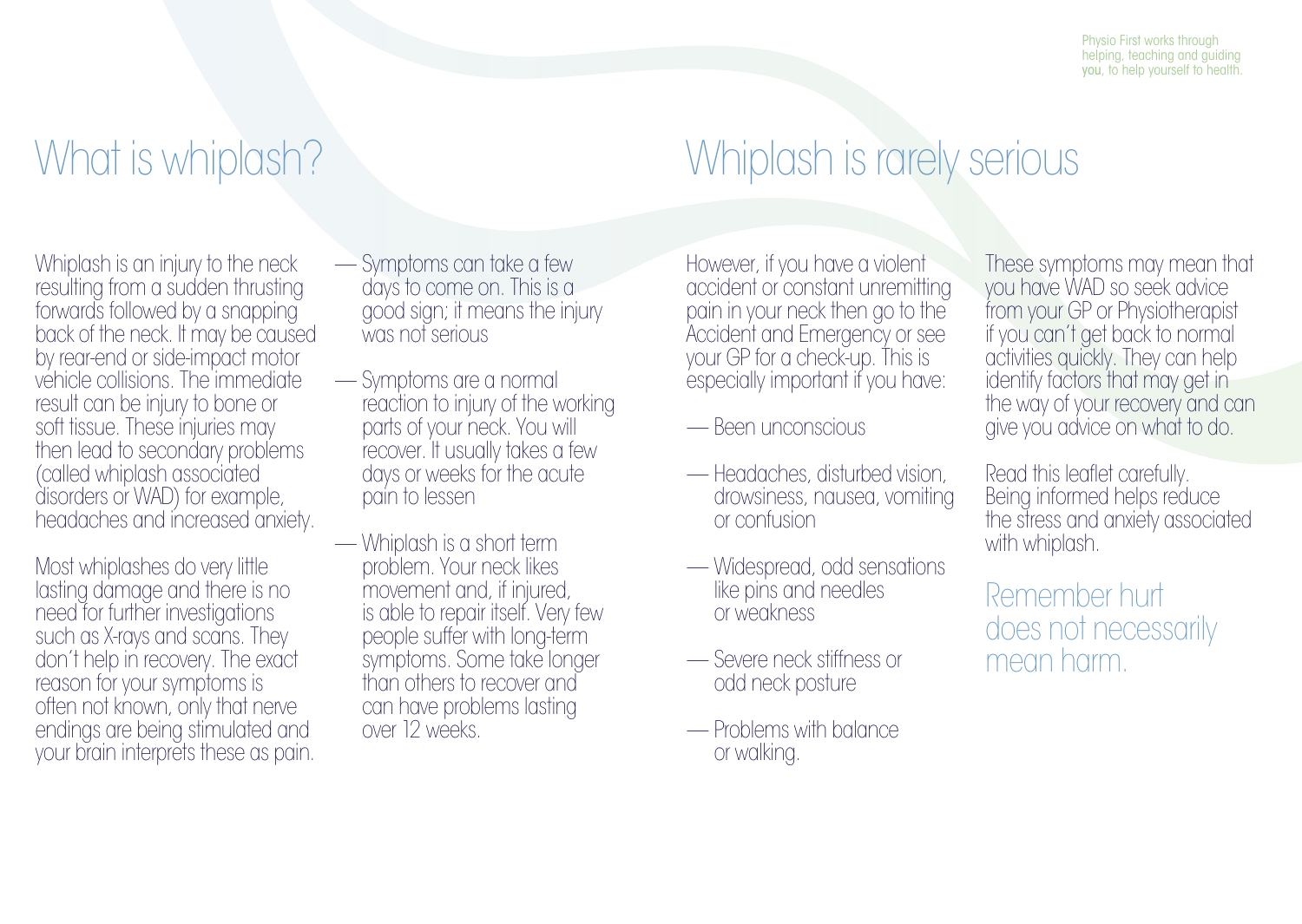Physio First works through helping, teaching and guiding you, to help yourself to health.

# What is whiplash?

Whiplash is an injury to the neck resulting from a sudden thrusting forwards followed by a snapping back of the neck. It may be caused by rear-end or side-impact motor vehicle collisions. The immediate result can be injury to bone or soft tissue. These injuries may then lead to secondary problems (called whiplash associated disorders or WAD) for example, headaches and increased anxiety.

Most whiplashes do very little lasting damage and there is no need for further investigations such as X-rays and scans. They don't help in recovery. The exact reason for your symptoms is often not known, only that nerve endings are being stimulated and your brain interprets these as pain.

- Symptoms can take a few days to come on. This is a good sign; it means the injury was not serious
- Symptoms are a normal reaction to injury of the working parts of your neck. You will recover. It usually takes a few days or weeks for the acute pain to lessen
- Whiplash is a short term problem. Your neck likes movement and, if injured, is able to repair itself. Very few people suffer with long-term symptoms. Some take longer than others to recover and can have problems lasting over 12 weeks.

# Whiplash is rarely serious

However, if you have a violent accident or constant unremitting pain in your neck then go to the Accident and Emergency or see your GP for a check-up. This is especially important if you have:

- Been unconscious
- Headaches, disturbed vision, drowsiness, nausea, vomiting or confusion
- Widespread, odd sensations like pins and needles or weakness
- Severe neck stiffness or odd neck posture
- Problems with balance or walking.

These symptoms may mean that you have WAD so seek advice from your GP or Physiotherapist if you can't get back to normal activities quickly. They can help identify factors that may get in the way of your recovery and can give you advice on what to do.

Read this leaflet carefully. Being informed helps reduce the stress and anxiety associated with whiplash.

Remember hurt does not necessarily mean harm.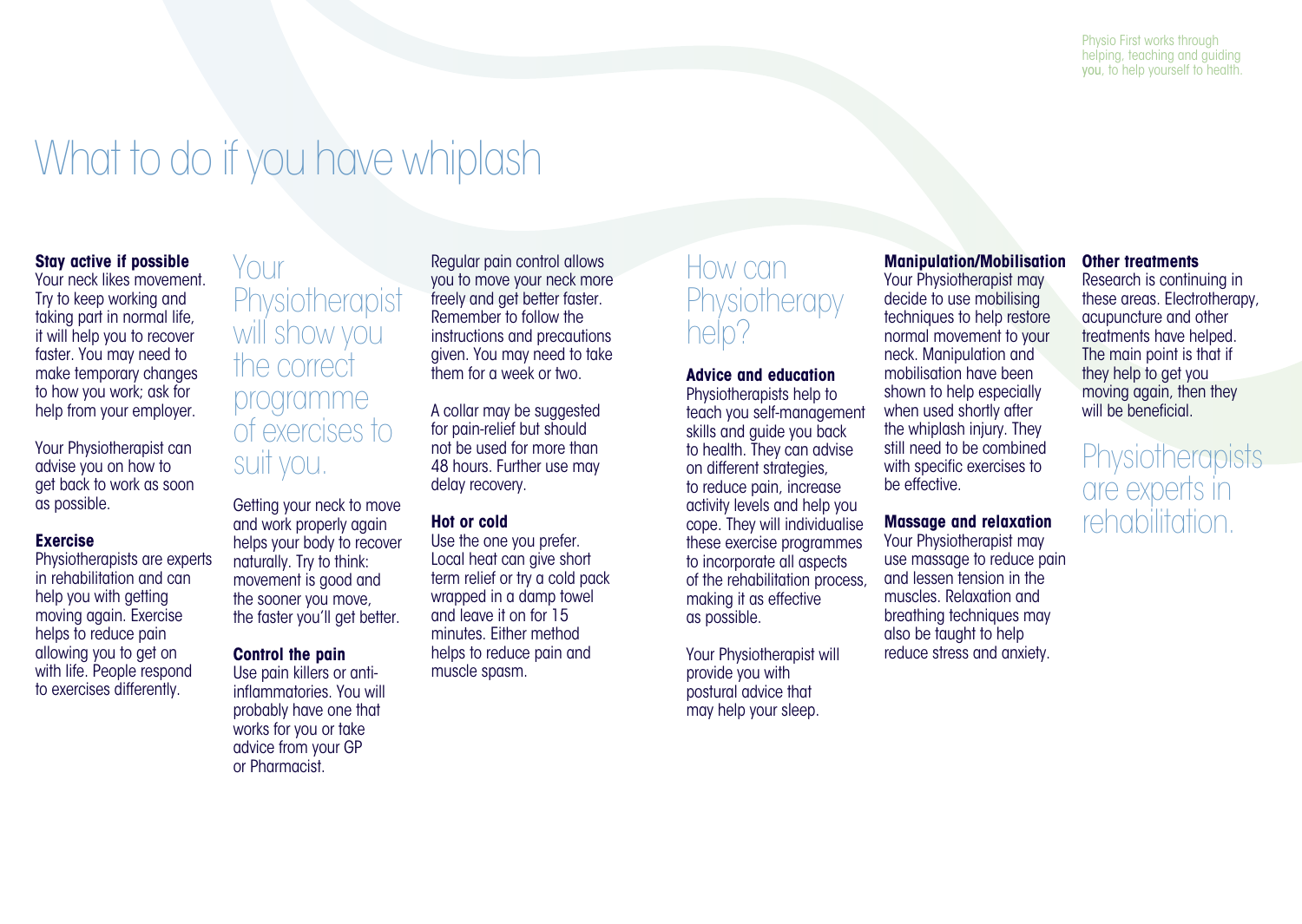### What to do if you have whiplash

#### **Stay active if possible**

Your neck likes movement. Try to keep working and taking part in normal life, it will help you to recover faster. You may need to make temporary changes to how you work; ask for help from your employer.

Your Physiotherapist can advise you on how to get back to work as soon as possible.

#### **Exercise**

Physiotherapists are experts in rehabilitation and can help you with getting moving again. Exercise helps to reduce pain allowing you to get on with life. People respond to exercises differently.

### Your **Physiotherapist** will show you the correct programme of exercises to suit you.

Getting your neck to move and work properly again helps your body to recover naturally. Try to think: movement is good and the sooner you move, the faster you'll get better.

#### **Control the pain**

Use pain killers or antiinflammatories. You will probably have one that works for you or take advice from your GP or Pharmacist.

Regular pain control allows you to move your neck more freely and get better faster. Remember to follow the instructions and precautions given. You may need to take them for a week or two.

A collar may be suggested for pain-relief but should not be used for more than 48 hours. Further use may delay recovery.

#### **Hot or cold**

Use the one you prefer. Local heat can give short term relief or try a cold pack wrapped in a damp towel and leave it on for 15 minutes. Either method helps to reduce pain and muscle spasm.

### How can **Physiotherapy** help?

#### **Advice and education**

Physiotherapists help to teach you self-management skills and guide you back to health. They can advise on different strategies, to reduce pain, increase activity levels and help you cope. They will individualise these exercise programmes to incorporate all aspects of the rehabilitation process, making it as effective as possible.

Your Physiotherapist will provide you with postural advice that may help your sleep.

#### **Manipulation/Mobilisation**

Your Physiotherapist may decide to use mobilising techniques to help restore normal movement to your neck. Manipulation and mobilisation have been shown to help especially when used shortly after the whiplash injury. They still need to be combined with specific exercises to be effective.

#### **Massage and relaxation**

Your Physiotherapist may use massage to reduce pain and lessen tension in the muscles. Relaxation and breathing techniques may also be taught to help reduce stress and anxiety.

#### **Other treatments**

Research is continuing in these areas. Electrotherapy, acupuncture and other treatments have helped. The main point is that if they help to get you moving again, then they will be beneficial.

**Physiotherapists** are experts in rehabilitation.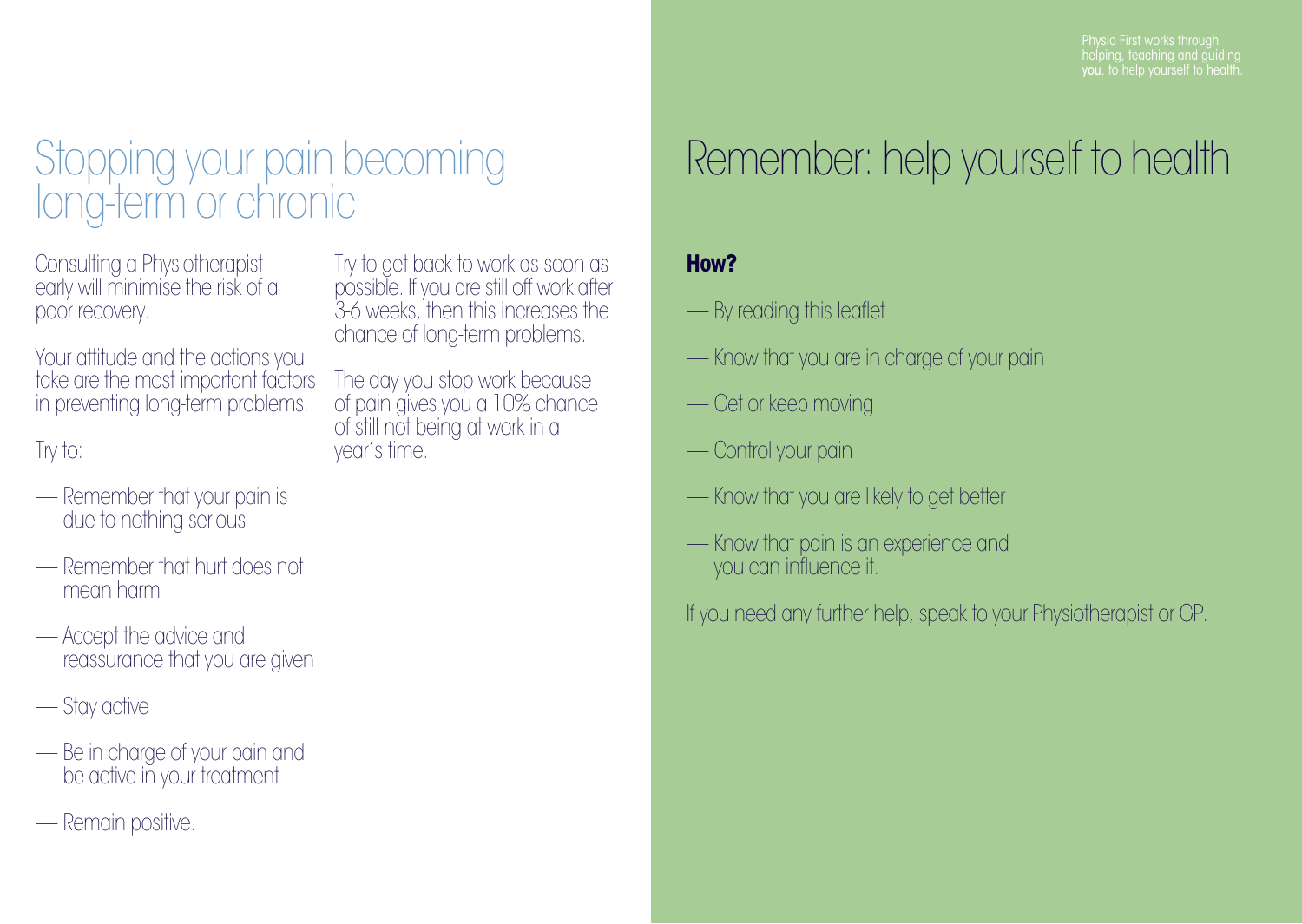# Stopping your pain becoming long-term or chronic

Consulting a Physiotherapist early will minimise the risk of a poor recovery.

Your attitude and the actions you take are the most important factors in preventing long-term problems.

### Try to:

- Remember that your pain is due to nothing serious
- Remember that hurt does not mean harm
- Accept the advice and reassurance that you are given
- Stay active
- Be in charge of your pain and be active in your treatment
- Remain positive.

Try to get back to work as soon as possible. If you are still off work after 3-6 weeks, then this increases the chance of long-term problems.

The day you stop work because of pain gives you a 10% chance of still not being at work in a year's time.

# Remember: help yourself to health

### **How?**

- By reading this leaflet
- Know that you are in charge of your pain
- Get or keep moving
- Control your pain
- Know that you are likely to get better
- Know that pain is an experience and you can influence it.

If you need any further help, speak to your Physiotherapist or GP.